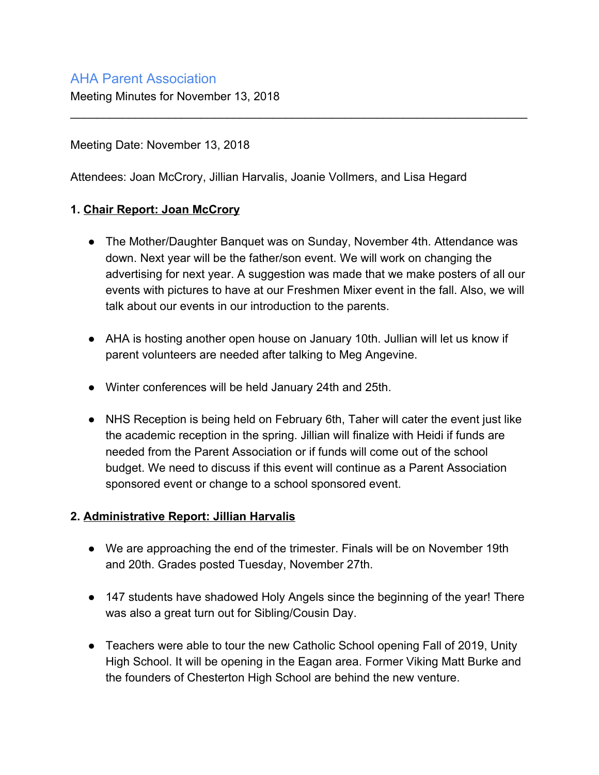# AHA Parent Association

Meeting Minutes for November 13, 2018

### Meeting Date: November 13, 2018

Attendees: Joan McCrory, Jillian Harvalis, Joanie Vollmers, and Lisa Hegard

### **1. Chair Report: Joan McCrory**

● The Mother/Daughter Banquet was on Sunday, November 4th. Attendance was down. Next year will be the father/son event. We will work on changing the advertising for next year. A suggestion was made that we make posters of all our events with pictures to have at our Freshmen Mixer event in the fall. Also, we will talk about our events in our introduction to the parents.

\_\_\_\_\_\_\_\_\_\_\_\_\_\_\_\_\_\_\_\_\_\_\_\_\_\_\_\_\_\_\_\_\_\_\_\_\_\_\_\_\_\_\_\_\_\_\_\_\_\_\_\_\_\_\_\_\_\_\_\_\_\_\_\_\_\_\_\_\_\_

- AHA is hosting another open house on January 10th. Jullian will let us know if parent volunteers are needed after talking to Meg Angevine.
- Winter conferences will be held January 24th and 25th.
- NHS Reception is being held on February 6th, Taher will cater the event just like the academic reception in the spring. Jillian will finalize with Heidi if funds are needed from the Parent Association or if funds will come out of the school budget. We need to discuss if this event will continue as a Parent Association sponsored event or change to a school sponsored event.

#### **2. Administrative Report: Jillian Harvalis**

- We are approaching the end of the trimester. Finals will be on November 19th and 20th. Grades posted Tuesday, November 27th.
- 147 students have shadowed Holy Angels since the beginning of the year! There was also a great turn out for Sibling/Cousin Day.
- Teachers were able to tour the new Catholic School opening Fall of 2019, Unity High School. It will be opening in the Eagan area. Former Viking Matt Burke and the founders of Chesterton High School are behind the new venture.